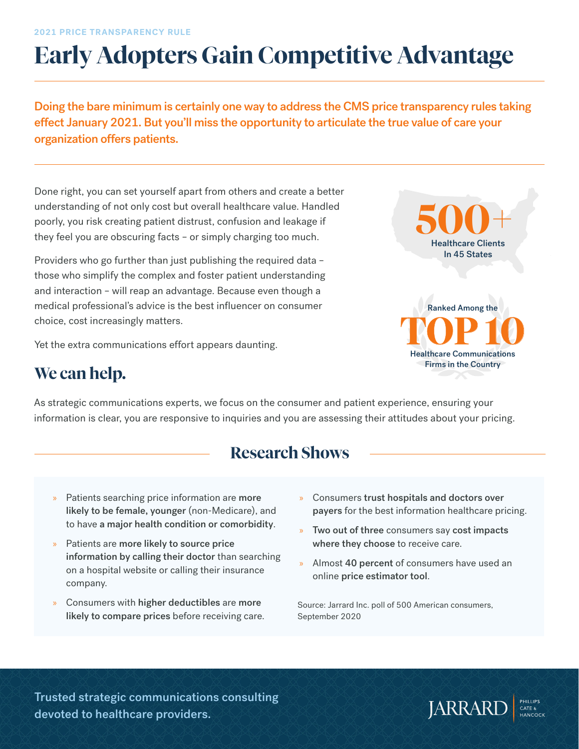# **Early Adopters Gain Competitive Advantage**

Doing the bare minimum is certainly one way to address the CMS price transparency rules taking effect January 2021. But you'll miss the opportunity to articulate the true value of care your organization offers patients.

Done right, you can set yourself apart from others and create a better understanding of not only cost but overall healthcare value. Handled poorly, you risk creating patient distrust, confusion and leakage if they feel you are obscuring facts – or simply charging too much.

Providers who go further than just publishing the required data – those who simplify the complex and foster patient understanding and interaction – will reap an advantage. Because even though a medical professional's advice is the best influencer on consumer choice, cost increasingly matters.

Yet the extra communications effort appears daunting.



# **We can help.**

As strategic communications experts, we focus on the consumer and patient experience, ensuring your information is clear, you are responsive to inquiries and you are assessing their attitudes about your pricing.

# **Research Shows**

- Patients searching price information are more likely to be female, younger (non-Medicare), and to have a major health condition or comorbidity.
- » Patients are more likely to source price information by calling their doctor than searching on a hospital website or calling their insurance company.
- » Consumers with higher deductibles are more likely to compare prices before receiving care.
- » Consumers trust hospitals and doctors over payers for the best information healthcare pricing.
- » Two out of three consumers say cost impacts where they choose to receive care.
- » Almost 40 percent of consumers have used an online price estimator tool.

Source: Jarrard Inc. poll of 500 American consumers, September 2020

Trusted strategic communications consulting devoted to healthcare providers.